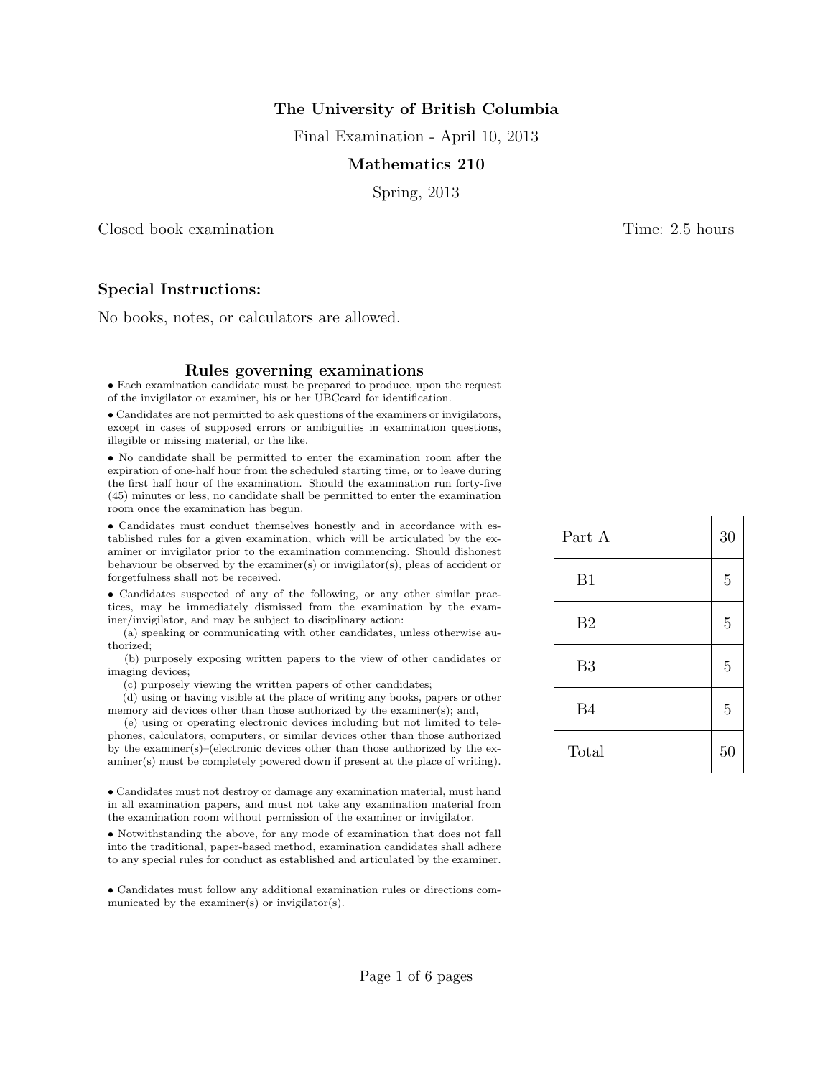# The University of British Columbia

Final Examination - April 10, 2013

## Mathematics 210

Spring, 2013

Closed book examination Time: 2.5 hours

Special Instructions:

No books, notes, or calculators are allowed.

#### Rules governing examinations

• Each examination candidate must be prepared to produce, upon the request of the invigilator or examiner, his or her UBCcard for identification.

• Candidates are not permitted to ask questions of the examiners or invigilators, except in cases of supposed errors or ambiguities in examination questions, illegible or missing material, or the like.

• No candidate shall be permitted to enter the examination room after the expiration of one-half hour from the scheduled starting time, or to leave during the first half hour of the examination. Should the examination run forty-five (45) minutes or less, no candidate shall be permitted to enter the examination room once the examination has begun.

• Candidates must conduct themselves honestly and in accordance with established rules for a given examination, which will be articulated by the examiner or invigilator prior to the examination commencing. Should dishonest behaviour be observed by the examiner(s) or invigilator(s), pleas of accident or forgetfulness shall not be received.

• Candidates suspected of any of the following, or any other similar practices, may be immediately dismissed from the examination by the examiner/invigilator, and may be subject to disciplinary action:

(a) speaking or communicating with other candidates, unless otherwise authorized;

(b) purposely exposing written papers to the view of other candidates or imaging devices;

(c) purposely viewing the written papers of other candidates;

(d) using or having visible at the place of writing any books, papers or other memory aid devices other than those authorized by the examiner(s); and,

(e) using or operating electronic devices including but not limited to telephones, calculators, computers, or similar devices other than those authorized by the examiner(s)–(electronic devices other than those authorized by the examiner(s) must be completely powered down if present at the place of writing).

• Candidates must not destroy or damage any examination material, must hand in all examination papers, and must not take any examination material from the examination room without permission of the examiner or invigilator.

• Notwithstanding the above, for any mode of examination that does not fall into the traditional, paper-based method, examination candidates shall adhere to any special rules for conduct as established and articulated by the examiner.

• Candidates must follow any additional examination rules or directions communicated by the examiner(s) or invigilator(s).

| Part A         | 30             |
|----------------|----------------|
| B1             | $\overline{5}$ |
| B <sub>2</sub> | $\overline{5}$ |
| B <sub>3</sub> | $\overline{5}$ |
| <b>B4</b>      | $\overline{5}$ |
| Total          | 50             |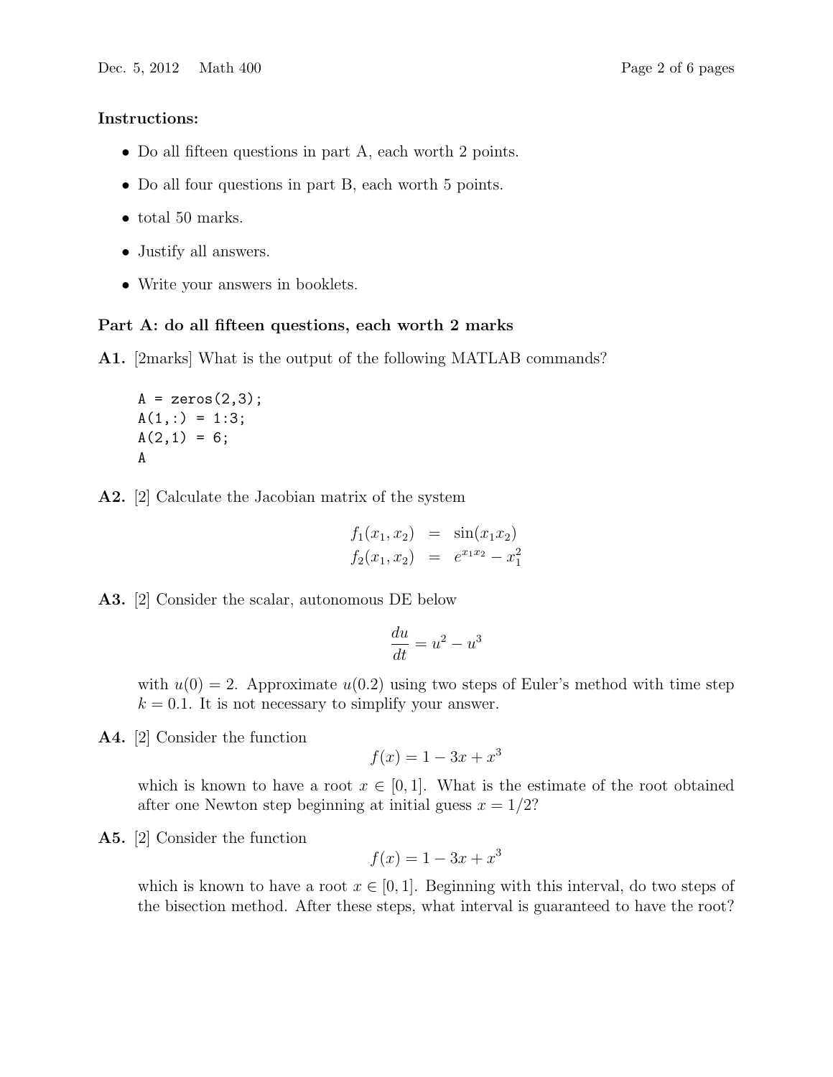### Instructions:

- Do all fifteen questions in part A, each worth 2 points.
- Do all four questions in part B, each worth 5 points.
- total 50 marks.
- Justify all answers.
- Write your answers in booklets.

## Part A: do all fifteen questions, each worth 2 marks

A1. [2marks] What is the output of the following MATLAB commands?

 $A = zeros(2,3);$  $A(1,:) = 1:3;$  $A(2,1) = 6;$ A

A2. [2] Calculate the Jacobian matrix of the system

$$
f_1(x_1, x_2) = \sin(x_1 x_2)
$$
  

$$
f_2(x_1, x_2) = e^{x_1 x_2} - x_1^2
$$

## A3. [2] Consider the scalar, autonomous DE below

$$
\frac{du}{dt} = u^2 - u^3
$$

with  $u(0) = 2$ . Approximate  $u(0.2)$  using two steps of Euler's method with time step  $k = 0.1$ . It is not necessary to simplify your answer.

A4. [2] Consider the function

$$
f(x) = 1 - 3x + x^3
$$

which is known to have a root  $x \in [0,1]$ . What is the estimate of the root obtained after one Newton step beginning at initial guess  $x = 1/2$ ?

A5. [2] Consider the function

$$
f(x) = 1 - 3x + x^3
$$

which is known to have a root  $x \in [0, 1]$ . Beginning with this interval, do two steps of the bisection method. After these steps, what interval is guaranteed to have the root?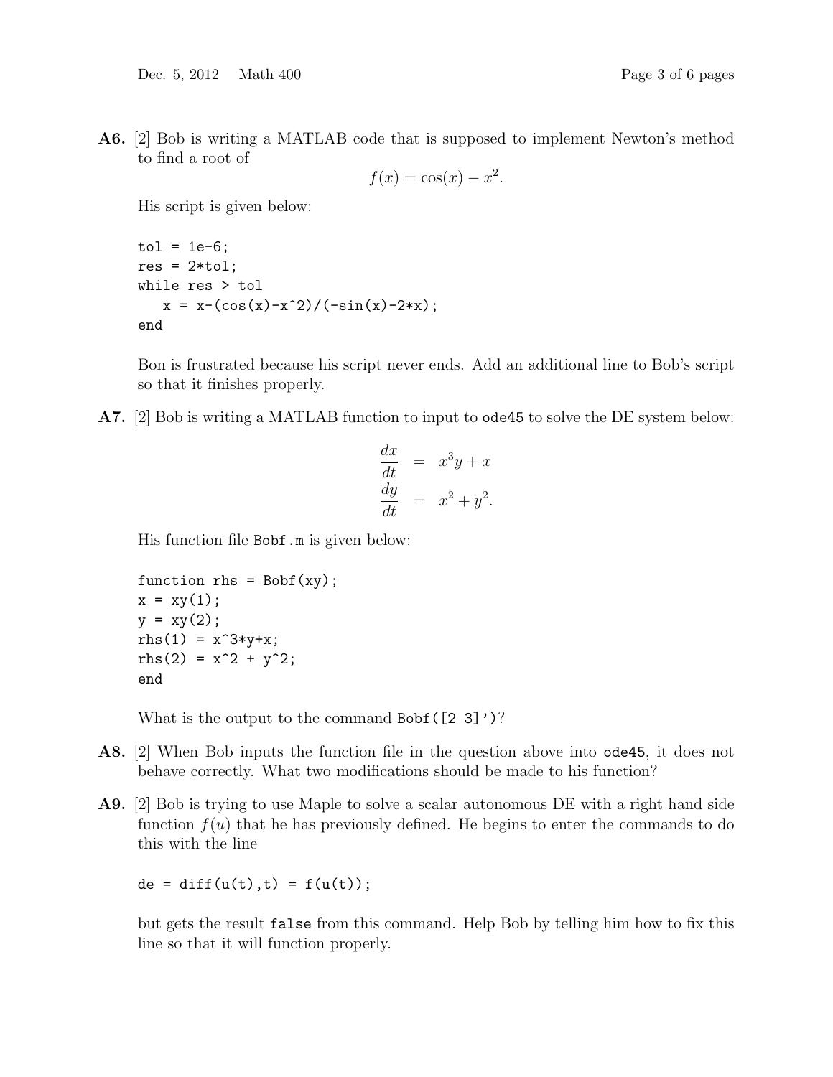A6. [2] Bob is writing a MATLAB code that is supposed to implement Newton's method to find a root of

$$
f(x) = \cos(x) - x^2.
$$

His script is given below:

```
tol = 1e-6;res = 2*tol;while res > tol
   x = x - (\cos(x) - x^2)/(-\sin(x) - 2*x);end
```
Bon is frustrated because his script never ends. Add an additional line to Bob's script so that it finishes properly.

A7. [2] Bob is writing a MATLAB function to input to ode45 to solve the DE system below:

$$
\frac{dx}{dt} = x^3y + x
$$
  

$$
\frac{dy}{dt} = x^2 + y^2.
$$

His function file Bobf.m is given below:

```
function rhs = Bobf(xy);
x = xy(1);y = xy(2);
rhs(1) = x^3*y+x;rhs(2) = x^2 + y^2;
end
```
What is the output to the command  $Bobf([2 3]')$ ?

- A8. [2] When Bob inputs the function file in the question above into ode45, it does not behave correctly. What two modifications should be made to his function?
- A9. [2] Bob is trying to use Maple to solve a scalar autonomous DE with a right hand side function  $f(u)$  that he has previously defined. He begins to enter the commands to do this with the line

 $de = diff(u(t), t) = f(u(t));$ 

but gets the result false from this command. Help Bob by telling him how to fix this line so that it will function properly.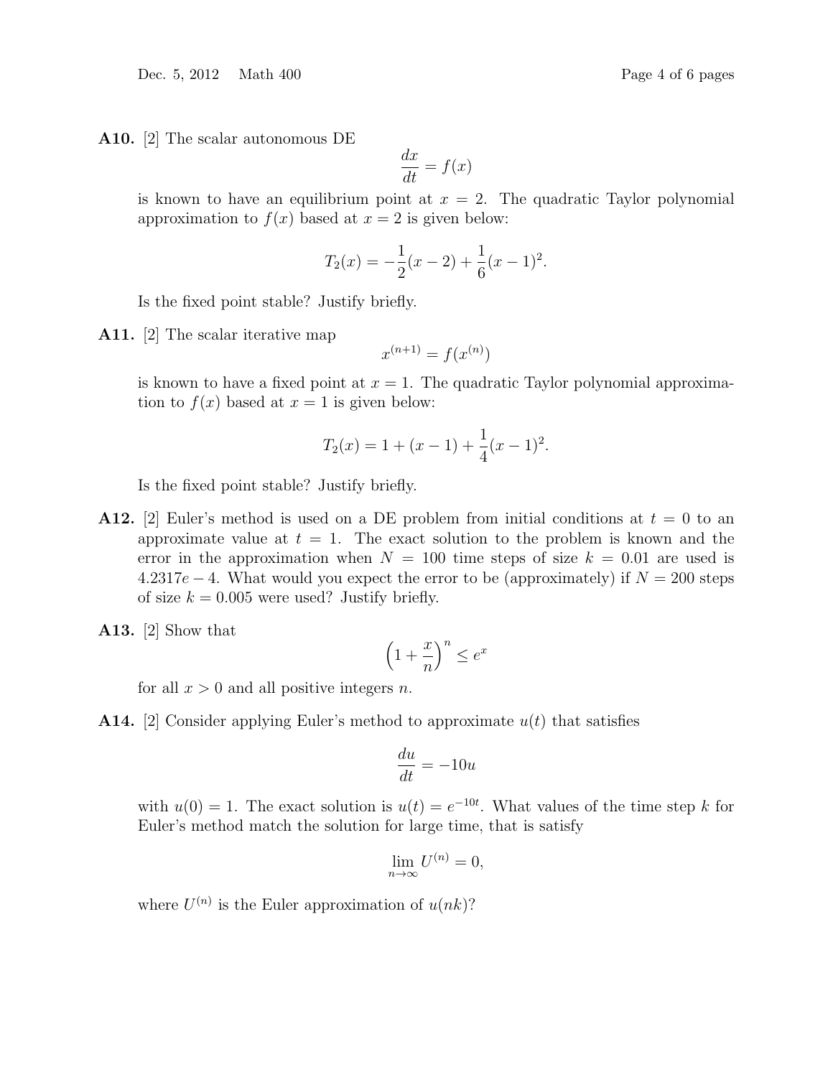Dec. 5, 2012 Math 400 Page 4 of 6 pages

A10. [2] The scalar autonomous DE

$$
\frac{dx}{dt} = f(x)
$$

is known to have an equilibrium point at  $x = 2$ . The quadratic Taylor polynomial approximation to  $f(x)$  based at  $x = 2$  is given below:

$$
T_2(x) = -\frac{1}{2}(x-2) + \frac{1}{6}(x-1)^2.
$$

Is the fixed point stable? Justify briefly.

A11. [2] The scalar iterative map

$$
x^{(n+1)} = f(x^{(n)})
$$

is known to have a fixed point at  $x = 1$ . The quadratic Taylor polynomial approximation to  $f(x)$  based at  $x = 1$  is given below:

$$
T_2(x) = 1 + (x - 1) + \frac{1}{4}(x - 1)^2.
$$

Is the fixed point stable? Justify briefly.

- **A12.** [2] Euler's method is used on a DE problem from initial conditions at  $t = 0$  to an approximate value at  $t = 1$ . The exact solution to the problem is known and the error in the approximation when  $N = 100$  time steps of size  $k = 0.01$  are used is  $4.2317e - 4$ . What would you expect the error to be (approximately) if  $N = 200$  steps of size  $k = 0.005$  were used? Justify briefly.
- A13. [2] Show that

$$
\left(1 + \frac{x}{n}\right)^n \le e^x
$$

for all  $x > 0$  and all positive integers n.

**A14.** [2] Consider applying Euler's method to approximate  $u(t)$  that satisfies

$$
\frac{du}{dt} = -10u
$$

with  $u(0) = 1$ . The exact solution is  $u(t) = e^{-10t}$ . What values of the time step k for Euler's method match the solution for large time, that is satisfy

$$
\lim_{n \to \infty} U^{(n)} = 0,
$$

where  $U^{(n)}$  is the Euler approximation of  $u(nk)$ ?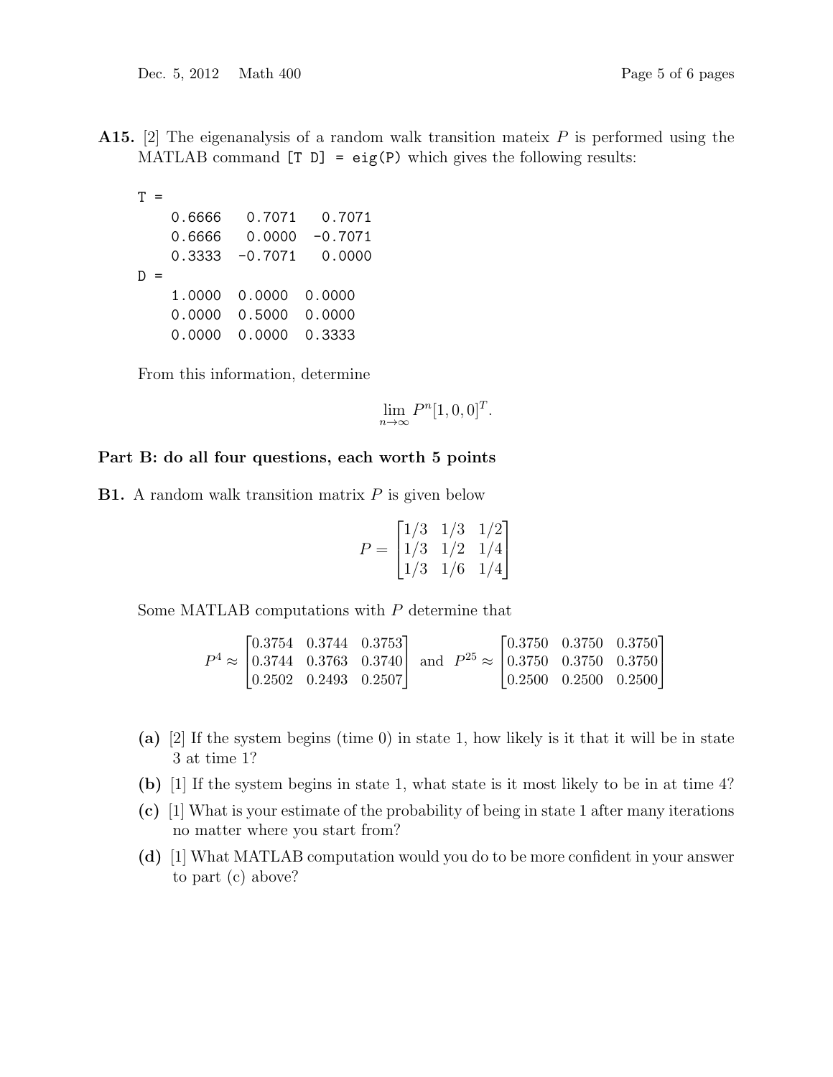**A15.** [2] The eigenanalysis of a random walk transition mateix  $P$  is performed using the MATLAB command  $[T D] = eig(P)$  which gives the following results:

|  | 0.6666 | 0.7071    | 0.7071    |
|--|--------|-----------|-----------|
|  | 0.6666 | 0.0000    | $-0.7071$ |
|  | 0.3333 | $-0.7071$ | 0.0000    |
|  |        |           |           |
|  | 1.0000 | 0.0000    | 0.0000    |
|  | 0.0000 | 0.5000    | 0.0000    |
|  | 0.0000 | 0.0000    | 0.3333    |
|  |        |           |           |

From this information, determine

 $\lim_{n\to\infty} P^n[1,0,0]^T.$ 

## Part B: do all four questions, each worth 5 points

**B1.** A random walk transition matrix  $P$  is given below

$$
P = \begin{bmatrix} 1/3 & 1/3 & 1/2 \\ 1/3 & 1/2 & 1/4 \\ 1/3 & 1/6 & 1/4 \end{bmatrix}
$$

Some MATLAB computations with P determine that

$$
P^{4} \approx \begin{bmatrix} 0.3754 & 0.3744 & 0.3753 \\ 0.3744 & 0.3763 & 0.3740 \\ 0.2502 & 0.2493 & 0.2507 \end{bmatrix} \text{ and } P^{25} \approx \begin{bmatrix} 0.3750 & 0.3750 & 0.3750 \\ 0.3750 & 0.3750 & 0.3750 \\ 0.2500 & 0.2500 & 0.2500 \end{bmatrix}
$$

- (a) [2] If the system begins (time 0) in state 1, how likely is it that it will be in state 3 at time 1?
- (b) [1] If the system begins in state 1, what state is it most likely to be in at time 4?
- (c) [1] What is your estimate of the probability of being in state 1 after many iterations no matter where you start from?
- (d) [1] What MATLAB computation would you do to be more confident in your answer to part (c) above?